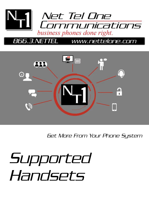

## www.nettelone.com 56.3.NETTEL



Get More From Your Phone System

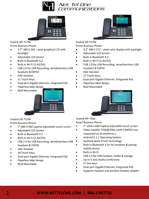



Yealink SIP-T57W Prime Business Phone

- 3.7" 360 X 160 pixel graphical LCD with backlight
- Adjustable LCD Screen
- Built-in Bluetooth 4.2
- Built-in Wi-Fi (2.4G/5G)
- USB 2.0 for USB Recording, wired/wireless USB headsets & EXP50
- HAC Handset
- 21 Touch Keys.
- Dual-port Gigabit Ethernet, Integrated PoE
- Paperless label design
- Wall Mountable



Yealink SIP-T57W

Prime Business Phone

- 7" 800 X 480 Captive adjustable touch screen
- Adjustable LCD Screen
- Built-in Bluetooth 4.2
- Built-in Wi-Fi (2.4G/5G)
- USB 2.0 for USB Recording, wired/wireless USB headsets & EXP50
- HAC Handset
- 29 Touch Keys.
- Dual-port Gigabit Ethernet, Integrated PoE
- Paperless label design
- Wall Mountable



Yealink SIP-T57W Prime Business Phone

- 4.3" 480 X 272 pixel color display with backlight
- Adjustable LCD Screen
- Built-in Bluetooth 4.2
- Built-in Wi-Fi (2.4G/5G)
- USB 2.0 for USB Recording, wired/wireless USB headsets & EXP50
- HAC Handset
- 27 Touch Keys.
- Dual-port Gigabit Ethernet, Integrated PoE
- Paperless label design
- Wall Mountable



Yealink SIP-T58A Smart Business Phone

- 7" 1024 x 600 Captive adjustable touch screen
- Video capable 720p@30fps (with CAM50) (not supported on all platforms.)
- Android 5.1.1 Operating System.
- Yeahlink Noise Proof Technology
- Built-in Bluetooth 4.0+ for headsets & pairing mobile device.
- Built-in Wi-Fi
- USB 2.0 for USB headset, media & storage
- Up to 5-way Audio Conference
- 27 line keys.
- Dual-port Gigabit Ethernet, Integrated PoE
- Supports headset and wireless headset adapter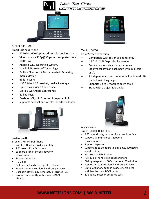



### Yealink SIP-T58A

Smart Business Phone

- 7" 1024 x 600 Captive adjustable touch screen
- Video capable 720p@30fps (not supported on all platforms.)
- Android 5.1.1 Operating System.
- Yeahlink Noise Proof Technology
- Built-in Bluetooth 4.0+ for headsets & pairing mobile device.
- Built-in Wi-Fi
- USB 2.0 for USB headset, media & storage
- Up to 3-way Video Conference
- Up to 5-way Audio Conference
- 27 line keys.
- Dual-port Gigabit Ethernet, Integrated PoE
- Supports headset and wireless headset adapter



### Yealink W41P

Business HD IP DECT Phone

- Wireless Handset sold separately.
- 2.7" color 192. x 64 Screen.
- Support 8 simultaneous network conversations
- Support Repeater
- HD Voice
- Full-duplex hands-free speaker phone
- Support up to 8 cordless handsets per base
- Dual port 10M/100M Ethernet, Integrated PoE
- Works concurrently with wireless DECT phones.

| -<br>=<br>10.10.11.00-<br>The Perfect<br>-<br>III Motion<br>2.871<br>-<br>-<br><b>All Henry</b><br>15 Gery<br>$\equiv$<br>-<br>1.102.2.11<br><b>Douglas</b><br><b>JE Rose</b><br><b>ID WHI</b><br><b>III</b> Daily<br>2.168e<br><b>L. Mills</b><br>3. Poppy<br>m. 10.211.3.<br>$= 9453$<br>œ<br><b>COLLEGE</b><br>3<br>$\mathbf{z}$ | <b>Kinging</b><br>- | <b>SIL Kenny</b>      | - |
|-------------------------------------------------------------------------------------------------------------------------------------------------------------------------------------------------------------------------------------------------------------------------------------------------------------------------------------|---------------------|-----------------------|---|
|                                                                                                                                                                                                                                                                                                                                     | <b>Jack</b>         | <b>III</b> Dictionary |   |
|                                                                                                                                                                                                                                                                                                                                     |                     |                       |   |
|                                                                                                                                                                                                                                                                                                                                     |                     |                       |   |
|                                                                                                                                                                                                                                                                                                                                     |                     |                       |   |
|                                                                                                                                                                                                                                                                                                                                     |                     |                       |   |
|                                                                                                                                                                                                                                                                                                                                     |                     |                       |   |
|                                                                                                                                                                                                                                                                                                                                     |                     |                       |   |
|                                                                                                                                                                                                                                                                                                                                     |                     |                       |   |
|                                                                                                                                                                                                                                                                                                                                     |                     |                       |   |
|                                                                                                                                                                                                                                                                                                                                     |                     |                       |   |

## Yealink EXP50

Color Screen Expansion

- Compatible with T5 series phones only
- 4.3" 272 X 480– pixel color screen
- Color icons for rich visual experience
- 20 physical keys on each page with dual-color LED's
- 3 Independent control keys with illuminated LED for fast switching pages
- Supports up to 3 modules daisy-chain
- Stand with 2 adjustable angles



Yealink W60P

Business HD IP DECT Phone

- 2.4" color display with intuitive user interface
- Support 8 simultaneous network conversations
- Support Repeater
- Support up to 30 hours talking time, 400 hours standby time
- HD Voice on DECT radio
- Full-duplex hands-free speaker phone
- Dialing range up to 300m outdoor, 50m indoor
- Support up to 8 cordless handsets per base
- Up to 500 phonebook in base, synchronized with handsets via DECT radio
- 20 outing/ missed/ accepted calls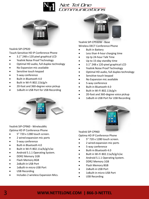



## Yealink SIP-CP920

Touch-Sensitive HD IP Conference Phone

- 3.1" 248 x 120 pixel graphical LCD
- Yealink Noise Proof Technology
- Optimal HD audio, full duplex technology
- No Expansion mic available
- Sensitive touch keypad
- 5-way conference
- Built-in Bluetooth 4.0
- Built in Wi-Fi 802.11b/g/n
- 20-foot and 360-degree voice pickup
- 1xBuilt-in USB Port for USB Recording

Yealink SIP-CP960 - WirelessMic Optima HD IP Conference Phone

- 5" 720 x 1280 touch screen.
- 2 wired expansion mic ports
- 5-way conference
- Built-in Bluetooth 4.0
- Built in Wi-Fi 802.11a/b/g/n/ac
- Android 5.1.1 Operating System.
- DDR2 Memory 1GB
- Flash Memory 8GB
- 2xBuilt-in USB Port
- 1xBuilt-in micro USB Port
- USB Recording
- Includes 2 wireless Expansion Mics.



Yealink SIP-CP930W - Base Wireless DECT Conference Phone

- Built in Battery
- Less than 4-hour charging time
- Up tp 24-hour Talk Time
- Up to 15-day standby time
- 3.1" 248 x 120-pixel graphical LCD
- Yealink Noise Proof Technology
- Optimal HD audio, full duplex technology
- Sensitive touch keypad
- No Expansion mic available
- 5-way conference
- Built-in Bluetooth 4.0
- Built in Wi-Fi 802.11b/g/n
- 20-foot and 360-degree voice pickup
- 1xBuilt-in USB Port for USB Recording

Yealink SIP-CP960

Optima HD IP Conference Phone

- 5" 720 x 1280 touch screen.
- 2 wired expansion mic ports
- 5-way conference
- Built-in Bluetooth 4.0
- Built in Wi-Fi 802.11a/b/g/n/ac
- Android 5.1.1 Operating System.
- DDR2 Memory 1GB
- Flash Memory 8GB
- 2xBuilt-in USB Port
- 1xBuilt-in micro USB Port
- USB Recording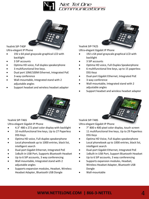



Yealink SIP-T40P

Ultra-elegant IP Phone

- 192 x 64 pixel grayscale graphical LCD with backlight
- 3 SIP accounts
- Optima HD voice, Full duplex speakerphone
- 3 multifunctional line keys.
- Dual port 10M/100M Ethernet, Integrated PoE
- 3-way conference
- Wall-mountable, Integrated stand with 2 adjustable angles
- Support headset and wireless headset adapter



## Yealink SIP-T46S

Ultra-elegant Gigabit IP Phone

- 4.3" 480 x 272 pixel color display with backlight
- 10 multifunctional line keys, Up to 27 Paperless DSS Keys
- Optima HD voice, Full-duplex speakerphone
- Local phonebook up to 1000 entries, black list, intelligent search
- Dual-port Gigabit Ethernet, Integrated PoE
- 1xBuilt-in USB Port, Supports Bluetooth Headset
- Up to 6 SIP accounts, 3 way conferencing
- Wall mountable, Integrated stand with 2 adjustable angles
- Supports expansion modules, Headset, Wireless Headset Adapter, Bluetooth USB Dongle



Yealink SIP-T42S

Ultra-elegant Gigabit IP Phone

- 192 x 64 pixel grayscale graphical LCD with backlight
- 3 SIP accounts
- Optima HD voice, Full-Duplex Speakerphone
- 6 multifunctional line keys, up to 15 paperless DSS Keys
- Dual-port Gigabit Ethernet, Integrated PoE
- 3-way conference
- Wall-mountable, Integrated stand with 2 adjustable angles
- Support headset and wireless headset adapter



Yealink SIP-T48S

Ultra-elegant Gigabit IP Phone

- 7" 800 x 400 pixel color display, touch screen
- 11 multifunctional line keys, Up to 29 Paperless DSS Keys
- Optima HD Voice, Full duplex speakerphone
- Local phonebook up to 1000 entries, black list, intelligent search
- Dual-port Gigabit Ethernet, Integrated PoE
- 1xBuilt-in USB Port, Support Bluetooth Headset
- Up to 6 SIP accounts, 3 way conferencing
- Supports expansion modules, Headset, Wireless Headset Adapter, Bluetooth USB Dongle
- Wall-mountable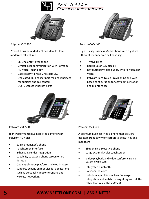



Polycom VVX 300

Powerful Business Media Phone ideal for lowmoderate call volume

- Six Line entry-level phone
- Crystal clear communication with Polycom HD Voice Technology
- Backlit easy-to-read Grayscale LCD
- Dedicated RJ9 headset port making it perfect for cubicles and call centers
- Dual Gigabyte Ethernet ports



Polycom VVX 500

High-Performance Business Media Phone with Polycom HD Voice

- 12 Line manager's phone
- Touchscreen interface
- Exhange calendar integration
- Capability to extend phone screen on PC desktop
- Open application platform and web browser
- Supports expansion modules for applications such as personal videoconferencing and wireless networking



Polycom VVX 400

High Quality Business Media Phone with Gigabyte Ethernet for enhanced call handling

- Twelve Lines
- Backlit Color LCD display
- Revolutionary voice quality with Polycom HD Voice
- Polycom Zero Touch Provisioning and Web based configuration for easy administration and maintenance



Polycom VVX 600

A premium Business Media phone that delivers desktop productivity for corporate executives and managers

- Sixteen Line Executive phone
- Large LCD multicolor touchscreen
- Video playback and video conferencing via external USB cam
- Integrated Bluetooth
- Polycom HD Voice
- Includes capabilities such as Exchange integration and web browsing along with all the other features in the VVX 500